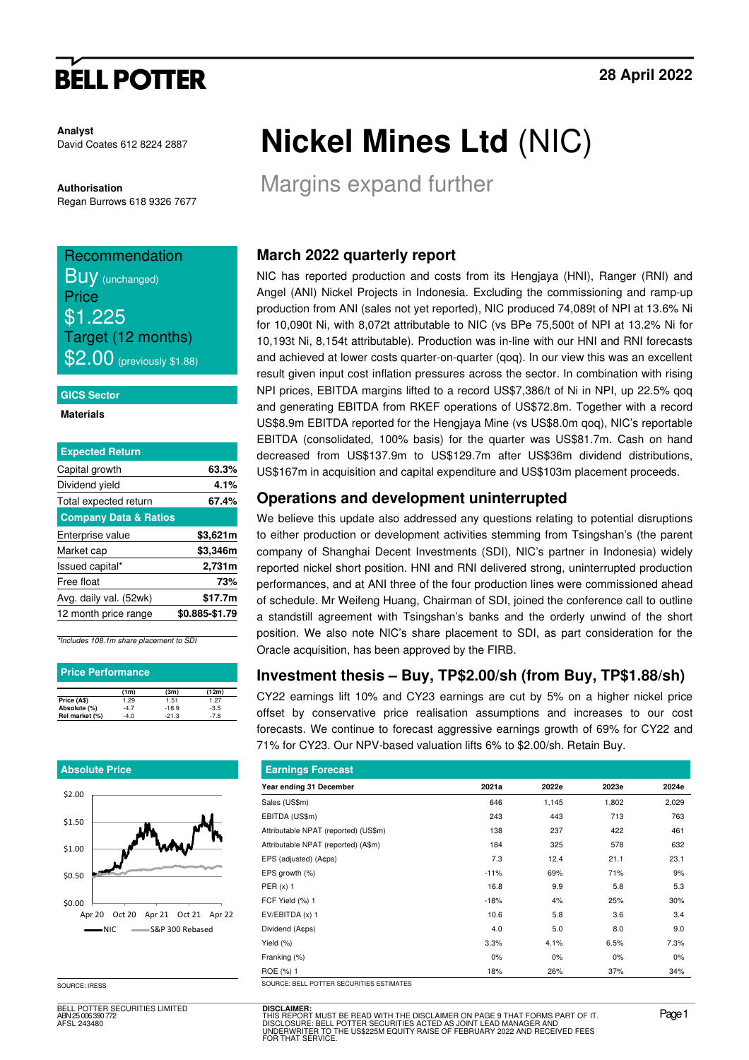# **BELL POTTER**

**Analyst**  David Coates 612 8224 2887

**Authorisation**  Regan Burrows 618 9326 7677

# Recommendation Buy (unchanged) Price \$1.225 Target (12 months)

**\$2.00** (previously \$1.88)

### **GICS Sector**

**Materials** 

| <b>Expected Return</b>           |                |
|----------------------------------|----------------|
| Capital growth                   | 63.3%          |
| Dividend yield                   | 4.1%           |
| Total expected return            | 67.4%          |
| <b>Company Data &amp; Ratios</b> |                |
| Enterprise value                 | \$3,621m       |
| Market cap                       | \$3,346m       |
| Issued capital*                  | 2,731m         |
| Free float                       | 73%            |
| Avg. daily val. (52wk)           | \$17.7m        |
| 12 month price range             | \$0.885-\$1.79 |

\*Includes 108.1m share placement to SDI

| <b>Price Performance</b> |        |         |        |  |  |  |  |
|--------------------------|--------|---------|--------|--|--|--|--|
|                          | (1m)   | (3m)    | (12m)  |  |  |  |  |
| Price (A\$)              | 1.29   | 1.51    | 1.27   |  |  |  |  |
| Absolute (%)             | $-4.7$ | $-18.9$ | $-3.5$ |  |  |  |  |
| Rel market (%)           | $-4.0$ | $-21.3$ | $-7.8$ |  |  |  |  |

### **Absolute Price**



SOURCE: IRESS

BELL POTTER SECURITIES LIMITED ABN 25 006 390 772 AFSL 243480

# **Nickel Mines Ltd** (NIC)

Margins expand further

## **March 2022 quarterly report**

NIC has reported production and costs from its Hengjaya (HNI), Ranger (RNI) and Angel (ANI) Nickel Projects in Indonesia. Excluding the commissioning and ramp-up production from ANI (sales not yet reported), NIC produced 74,089t of NPI at 13.6% Ni for 10,090t Ni, with 8,072t attributable to NIC (vs BPe 75,500t of NPI at 13.2% Ni for 10,193t Ni, 8,154t attributable). Production was in-line with our HNI and RNI forecasts and achieved at lower costs quarter-on-quarter (qoq). In our view this was an excellent result given input cost inflation pressures across the sector. In combination with rising NPI prices, EBITDA margins lifted to a record US\$7,386/t of Ni in NPI, up 22.5% qoq and generating EBITDA from RKEF operations of US\$72.8m. Together with a record US\$8.9m EBITDA reported for the Hengjaya Mine (vs US\$8.0m qoq), NIC's reportable EBITDA (consolidated, 100% basis) for the quarter was US\$81.7m. Cash on hand decreased from US\$137.9m to US\$129.7m after US\$36m dividend distributions, US\$167m in acquisition and capital expenditure and US\$103m placement proceeds.

## **Operations and development uninterrupted**

We believe this update also addressed any questions relating to potential disruptions to either production or development activities stemming from Tsingshan's (the parent company of Shanghai Decent Investments (SDI), NIC's partner in Indonesia) widely reported nickel short position. HNI and RNI delivered strong, uninterrupted production performances, and at ANI three of the four production lines were commissioned ahead of schedule. Mr Weifeng Huang, Chairman of SDI, joined the conference call to outline a standstill agreement with Tsingshan's banks and the orderly unwind of the short position. We also note NIC's share placement to SDI, as part consideration for the Oracle acquisition, has been approved by the FIRB.

## **Investment thesis – Buy, TP\$2.00/sh (from Buy, TP\$1.88/sh)**

CY22 earnings lift 10% and CY23 earnings are cut by 5% on a higher nickel price offset by conservative price realisation assumptions and increases to our cost forecasts. We continue to forecast aggressive earnings growth of 69% for CY22 and 71% for CY23. Our NPV-based valuation lifts 6% to \$2.00/sh. Retain Buy.

| <b>Earnings Forecast</b>                 |        |       |       |       |
|------------------------------------------|--------|-------|-------|-------|
| Year ending 31 December                  | 2021a  | 2022e | 2023e | 2024e |
| Sales (US\$m)                            | 646    | 1,145 | 1,802 | 2,029 |
| EBITDA (US\$m)                           | 243    | 443   | 713   | 763   |
| Attributable NPAT (reported) (US\$m)     | 138    | 237   | 422   | 461   |
| Attributable NPAT (reported) (A\$m)      | 184    | 325   | 578   | 632   |
| EPS (adjusted) (A¢ps)                    | 7.3    | 12.4  | 21.1  | 23.1  |
| EPS growth (%)                           | $-11%$ | 69%   | 71%   | 9%    |
| PER(x) 1                                 | 16.8   | 9.9   | 5.8   | 5.3   |
| FCF Yield (%) 1                          | $-18%$ | 4%    | 25%   | 30%   |
| $EV/EBITDA(x)$ 1                         | 10.6   | 5.8   | 3.6   | 3.4   |
| Dividend (A¢ps)                          | 4.0    | 5.0   | 8.0   | 9.0   |
| Yield $(\%)$                             | 3.3%   | 4.1%  | 6.5%  | 7.3%  |
| Franking (%)                             | $0\%$  | 0%    | 0%    | 0%    |
| ROE (%) 1                                | 18%    | 26%   | 37%   | 34%   |
| SOURCE: BELL POTTER SECURITIES ESTIMATES |        |       |       |       |

**DISCLAIMER:**<br>THIS REPORT MUST BE READ WITH THE DISCLAIMER ON PAGE 9 THAT FORMS PART OF IT.<br>DISCLOSURE: BELL POTTER SECURITIES ACTED AS JOINT LEAD MANAGER AND<br>UNDERWRITER TO THE US\$225M EQUITY RAISE OF FEBRUARY 2022 AND RE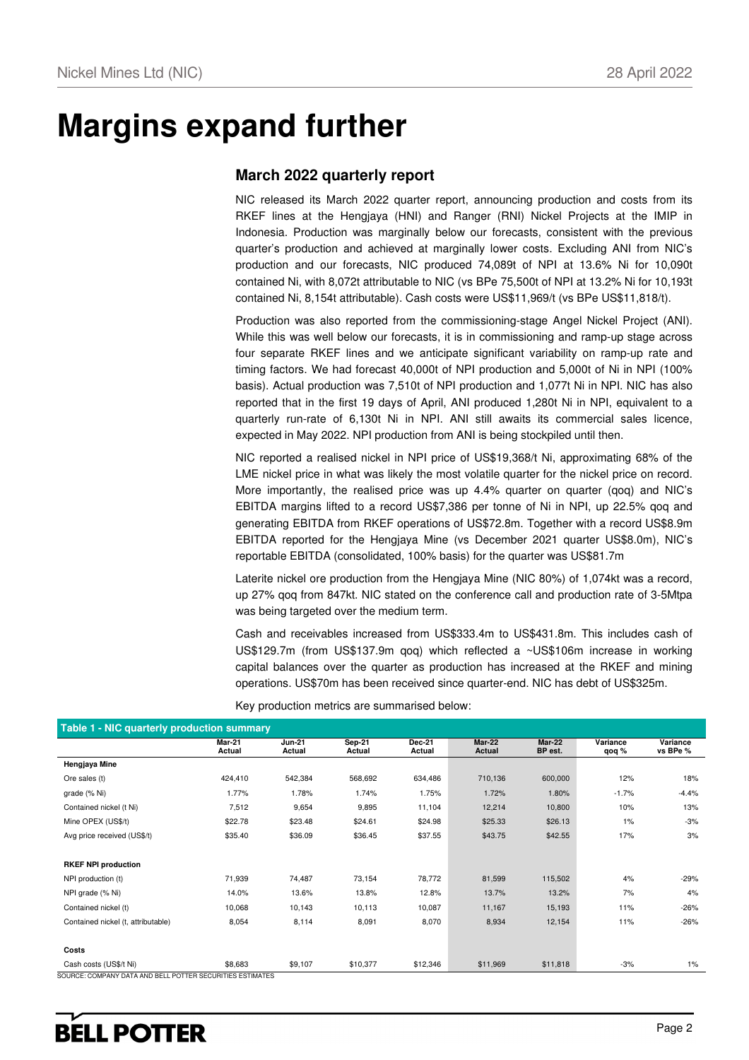# **Margins expand further**

## **March 2022 quarterly report**

NIC released its March 2022 quarter report, announcing production and costs from its RKEF lines at the Hengjaya (HNI) and Ranger (RNI) Nickel Projects at the IMIP in Indonesia. Production was marginally below our forecasts, consistent with the previous quarter's production and achieved at marginally lower costs. Excluding ANI from NIC's production and our forecasts, NIC produced 74,089t of NPI at 13.6% Ni for 10,090t contained Ni, with 8,072t attributable to NIC (vs BPe 75,500t of NPI at 13.2% Ni for 10,193t contained Ni, 8,154t attributable). Cash costs were US\$11,969/t (vs BPe US\$11,818/t).

Production was also reported from the commissioning-stage Angel Nickel Project (ANI). While this was well below our forecasts, it is in commissioning and ramp-up stage across four separate RKEF lines and we anticipate significant variability on ramp-up rate and timing factors. We had forecast 40,000t of NPI production and 5,000t of Ni in NPI (100% basis). Actual production was 7,510t of NPI production and 1,077t Ni in NPI. NIC has also reported that in the first 19 days of April, ANI produced 1,280t Ni in NPI, equivalent to a quarterly run-rate of 6,130t Ni in NPI. ANI still awaits its commercial sales licence, expected in May 2022. NPI production from ANI is being stockpiled until then.

NIC reported a realised nickel in NPI price of US\$19,368/t Ni, approximating 68% of the LME nickel price in what was likely the most volatile quarter for the nickel price on record. More importantly, the realised price was up 4.4% quarter on quarter (qoq) and NIC's EBITDA margins lifted to a record US\$7,386 per tonne of Ni in NPI, up 22.5% qoq and generating EBITDA from RKEF operations of US\$72.8m. Together with a record US\$8.9m EBITDA reported for the Hengjaya Mine (vs December 2021 quarter US\$8.0m), NIC's reportable EBITDA (consolidated, 100% basis) for the quarter was US\$81.7m

Laterite nickel ore production from the Hengjaya Mine (NIC 80%) of 1,074kt was a record, up 27% qoq from 847kt. NIC stated on the conference call and production rate of 3-5Mtpa was being targeted over the medium term.

Cash and receivables increased from US\$333.4m to US\$431.8m. This includes cash of US\$129.7m (from US\$137.9m qoq) which reflected a ~US\$106m increase in working capital balances over the quarter as production has increased at the RKEF and mining operations. US\$70m has been received since quarter-end. NIC has debt of US\$325m.

| Table 1 - NIC quarterly production summary                                           |                         |                         |                  |                  |                  |                   |                   |                      |  |
|--------------------------------------------------------------------------------------|-------------------------|-------------------------|------------------|------------------|------------------|-------------------|-------------------|----------------------|--|
|                                                                                      | <b>Mar-21</b><br>Actual | <b>Jun-21</b><br>Actual | Sep-21<br>Actual | Dec-21<br>Actual | Mar-22<br>Actual | Mar-22<br>BP est. | Variance<br>qoq % | Variance<br>vs BPe % |  |
| Hengjaya Mine                                                                        |                         |                         |                  |                  |                  |                   |                   |                      |  |
| Ore sales (t)                                                                        | 424,410                 | 542,384                 | 568,692          | 634,486          | 710,136          | 600,000           | 12%               | 18%                  |  |
| grade (% Ni)                                                                         | 1.77%                   | 1.78%                   | 1.74%            | 1.75%            | 1.72%            | 1.80%             | $-1.7%$           | $-4.4%$              |  |
| Contained nickel (t Ni)                                                              | 7,512                   | 9,654                   | 9,895            | 11,104           | 12,214           | 10,800            | 10%               | 13%                  |  |
| Mine OPEX (US\$/t)                                                                   | \$22.78                 | \$23.48                 | \$24.61          | \$24.98          | \$25.33          | \$26.13           | 1%                | $-3%$                |  |
| Avg price received (US\$/t)                                                          | \$35.40                 | \$36.09                 | \$36.45          | \$37.55          | \$43.75          | \$42.55           | 17%               | 3%                   |  |
|                                                                                      |                         |                         |                  |                  |                  |                   |                   |                      |  |
| <b>RKEF NPI production</b>                                                           |                         |                         |                  |                  |                  |                   |                   |                      |  |
| NPI production (t)                                                                   | 71,939                  | 74,487                  | 73,154           | 78,772           | 81,599           | 115,502           | 4%                | $-29%$               |  |
| NPI grade (% Ni)                                                                     | 14.0%                   | 13.6%                   | 13.8%            | 12.8%            | 13.7%            | 13.2%             | 7%                | 4%                   |  |
| Contained nickel (t)                                                                 | 10,068                  | 10,143                  | 10,113           | 10,087           | 11,167           | 15,193            | 11%               | $-26%$               |  |
| Contained nickel (t, attributable)                                                   | 8,054                   | 8,114                   | 8,091            | 8,070            | 8,934            | 12,154            | 11%               | $-26%$               |  |
|                                                                                      |                         |                         |                  |                  |                  |                   |                   |                      |  |
| Costs                                                                                |                         |                         |                  |                  |                  |                   |                   |                      |  |
| Cash costs (US\$/t Ni)<br>SOLIDOE: COMPANY DATA AND BELL POTTER SECURITIES ESTIMATES | \$8,683                 | \$9,107                 | \$10,377         | \$12,346         | \$11,969         | \$11,818          | $-3%$             | 1%                   |  |

Key production metrics are summarised below:

SOURCE: COMPANY DATA AND BELL POTTER SECURITIES ESTIMATES

# **BELL POTTER**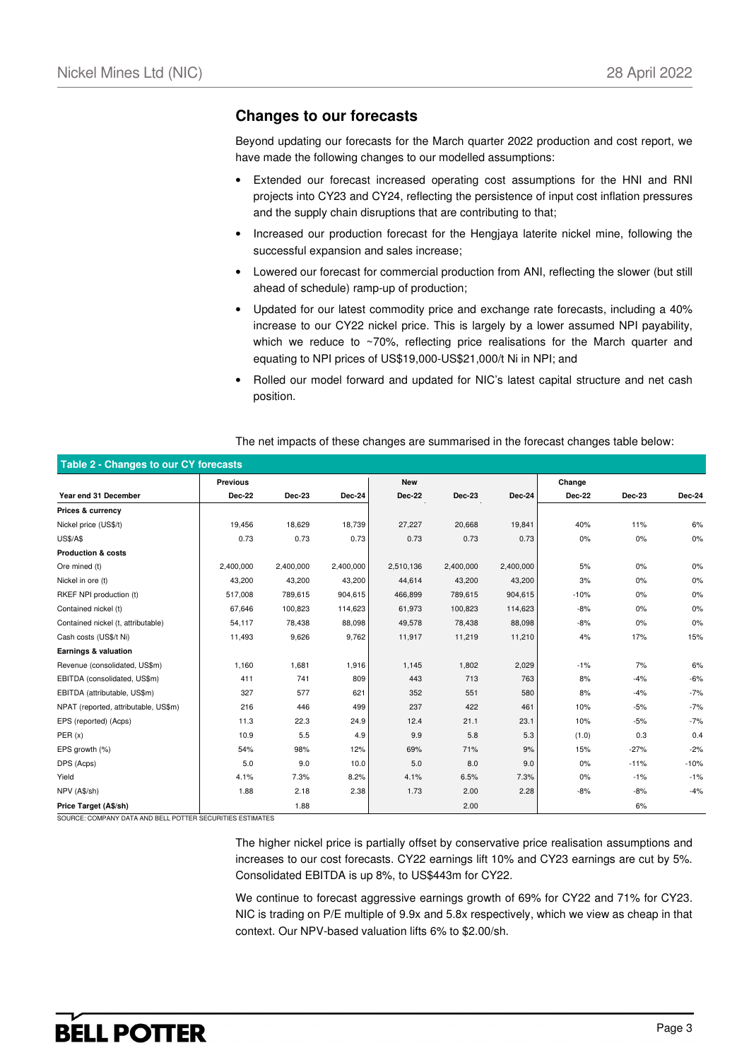## **Changes to our forecasts**

Beyond updating our forecasts for the March quarter 2022 production and cost report, we have made the following changes to our modelled assumptions:

- Extended our forecast increased operating cost assumptions for the HNI and RNI projects into CY23 and CY24, reflecting the persistence of input cost inflation pressures and the supply chain disruptions that are contributing to that;
- Increased our production forecast for the Hengjaya laterite nickel mine, following the successful expansion and sales increase;
- Lowered our forecast for commercial production from ANI, reflecting the slower (but still ahead of schedule) ramp-up of production;
- Updated for our latest commodity price and exchange rate forecasts, including a 40% increase to our CY22 nickel price. This is largely by a lower assumed NPI payability, which we reduce to ~70%, reflecting price realisations for the March quarter and equating to NPI prices of US\$19,000-US\$21,000/t Ni in NPI; and
- Rolled our model forward and updated for NIC's latest capital structure and net cash position.

| Table 2 - Changes to our CY forecasts |                 |           |           |               |               |           |               |        |        |
|---------------------------------------|-----------------|-----------|-----------|---------------|---------------|-----------|---------------|--------|--------|
|                                       | <b>Previous</b> |           |           | <b>New</b>    |               |           | Change        |        |        |
| Year end 31 December                  | Dec-22          | Dec-23    | Dec-24    | <b>Dec-22</b> | <b>Dec-23</b> | Dec-24    | <b>Dec-22</b> | Dec-23 | Dec-24 |
| Prices & currency                     |                 |           |           |               |               |           |               |        |        |
| Nickel price (US\$/t)                 | 19,456          | 18,629    | 18,739    | 27,227        | 20,668        | 19,841    | 40%           | 11%    | 6%     |
| <b>US\$/A\$</b>                       | 0.73            | 0.73      | 0.73      | 0.73          | 0.73          | 0.73      | $0\%$         | 0%     | 0%     |
| <b>Production &amp; costs</b>         |                 |           |           |               |               |           |               |        |        |
| Ore mined (t)                         | 2,400,000       | 2,400,000 | 2,400,000 | 2,510,136     | 2,400,000     | 2,400,000 | 5%            | 0%     | 0%     |
| Nickel in ore (t)                     | 43,200          | 43,200    | 43,200    | 44,614        | 43,200        | 43,200    | 3%            | 0%     | 0%     |
| RKEF NPI production (t)               | 517,008         | 789,615   | 904,615   | 466,899       | 789,615       | 904,615   | $-10%$        | 0%     | 0%     |
| Contained nickel (t)                  | 67,646          | 100,823   | 114,623   | 61,973        | 100,823       | 114,623   | $-8%$         | 0%     | 0%     |
| Contained nickel (t, attributable)    | 54,117          | 78,438    | 88,098    | 49,578        | 78,438        | 88,098    | $-8%$         | 0%     | 0%     |
| Cash costs (US\$/t Ni)                | 11,493          | 9,626     | 9,762     | 11,917        | 11,219        | 11,210    | 4%            | 17%    | 15%    |
| Earnings & valuation                  |                 |           |           |               |               |           |               |        |        |
| Revenue (consolidated, US\$m)         | 1,160           | 1,681     | 1,916     | 1,145         | 1,802         | 2,029     | $-1%$         | 7%     | 6%     |
| EBITDA (consolidated, US\$m)          | 411             | 741       | 809       | 443           | 713           | 763       | 8%            | $-4%$  | $-6%$  |
| EBITDA (attributable, US\$m)          | 327             | 577       | 621       | 352           | 551           | 580       | 8%            | $-4%$  | $-7%$  |
| NPAT (reported, attributable, US\$m)  | 216             | 446       | 499       | 237           | 422           | 461       | 10%           | $-5%$  | $-7%$  |
| EPS (reported) (Acps)                 | 11.3            | 22.3      | 24.9      | 12.4          | 21.1          | 23.1      | 10%           | $-5%$  | $-7%$  |
| PER(x)                                | 10.9            | 5.5       | 4.9       | 9.9           | 5.8           | 5.3       | (1.0)         | 0.3    | 0.4    |
| EPS growth (%)                        | 54%             | 98%       | 12%       | 69%           | 71%           | 9%        | 15%           | $-27%$ | $-2%$  |
| DPS (Acps)                            | 5.0             | 9.0       | 10.0      | $5.0$         | 8.0           | 9.0       | 0%            | $-11%$ | $-10%$ |
| Yield                                 | 4.1%            | 7.3%      | 8.2%      | 4.1%          | 6.5%          | 7.3%      | $0\%$         | $-1%$  | $-1%$  |
| NPV (A\$/sh)                          | 1.88            | 2.18      | 2.38      | 1.73          | 2.00          | 2.28      | $-8%$         | $-8%$  | $-4%$  |
| Price Target (A\$/sh)                 |                 | 1.88      |           |               | 2.00          |           |               | 6%     |        |

The net impacts of these changes are summarised in the forecast changes table below:

SOURCE: COMPANY DATA AND BELL POTTER SECURITIES ESTIMATES

The higher nickel price is partially offset by conservative price realisation assumptions and increases to our cost forecasts. CY22 earnings lift 10% and CY23 earnings are cut by 5%. Consolidated EBITDA is up 8%, to US\$443m for CY22.

We continue to forecast aggressive earnings growth of 69% for CY22 and 71% for CY23. NIC is trading on P/E multiple of 9.9x and 5.8x respectively, which we view as cheap in that context. Our NPV-based valuation lifts 6% to \$2.00/sh.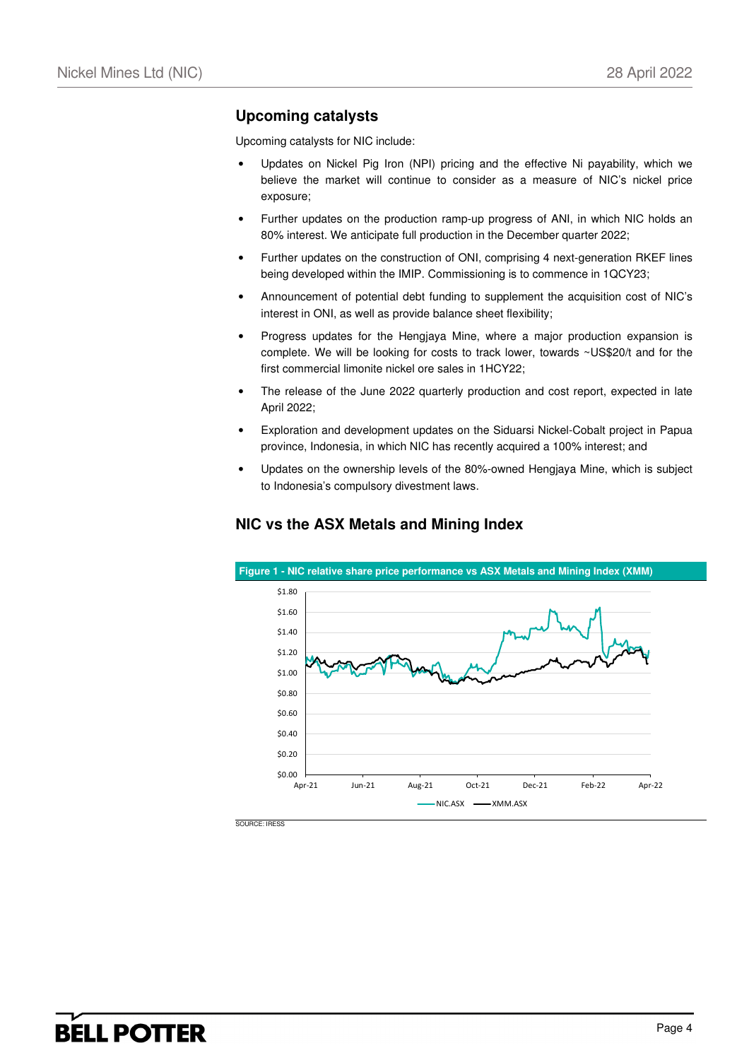## **Upcoming catalysts**

Upcoming catalysts for NIC include:

- Updates on Nickel Pig Iron (NPI) pricing and the effective Ni payability, which we believe the market will continue to consider as a measure of NIC's nickel price exposure;
- Further updates on the production ramp-up progress of ANI, in which NIC holds an 80% interest. We anticipate full production in the December quarter 2022;
- Further updates on the construction of ONI, comprising 4 next-generation RKEF lines being developed within the IMIP. Commissioning is to commence in 1QCY23;
- Announcement of potential debt funding to supplement the acquisition cost of NIC's interest in ONI, as well as provide balance sheet flexibility;
- Progress updates for the Hengjaya Mine, where a major production expansion is complete. We will be looking for costs to track lower, towards ~US\$20/t and for the first commercial limonite nickel ore sales in 1HCY22;
- The release of the June 2022 quarterly production and cost report, expected in late April 2022;
- Exploration and development updates on the Siduarsi Nickel-Cobalt project in Papua province, Indonesia, in which NIC has recently acquired a 100% interest; and
- Updates on the ownership levels of the 80%-owned Hengjaya Mine, which is subject to Indonesia's compulsory divestment laws.

## **NIC vs the ASX Metals and Mining Index**



SOURCE: IRESS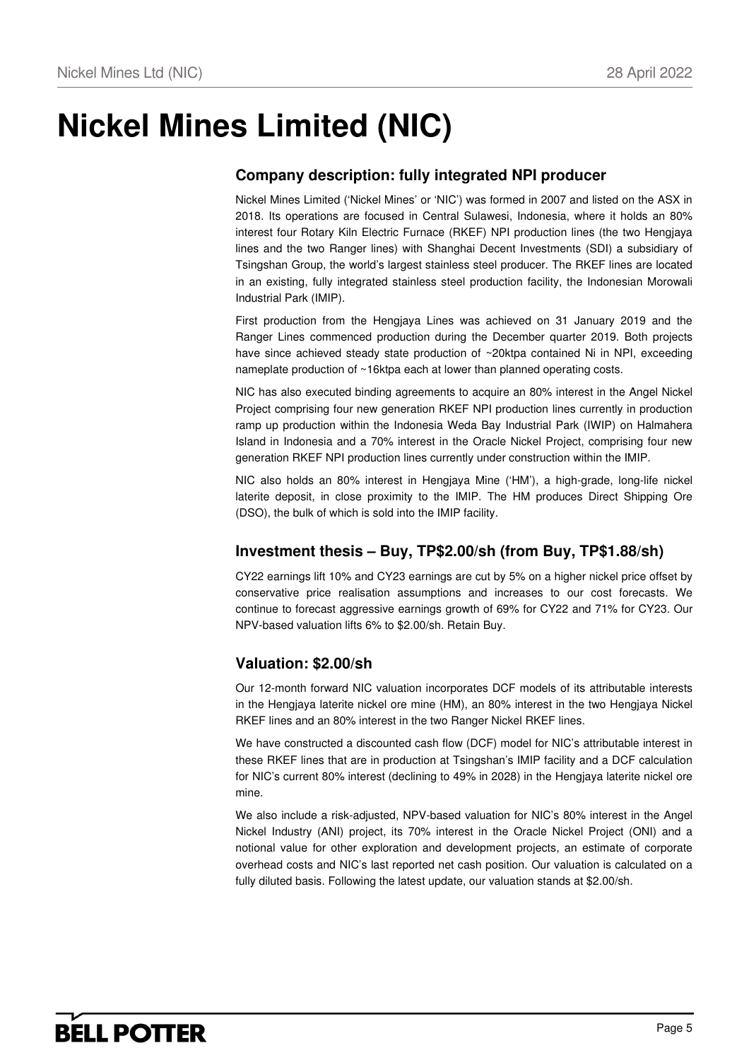# **Nickel Mines Limited (NIC)**

# **Company description: fully integrated NPI producer**

Nickel Mines Limited ('Nickel Mines' or 'NIC') was formed in 2007 and listed on the ASX in 2018. Its operations are focused in Central Sulawesi, Indonesia, where it holds an 80% interest four Rotary Kiln Electric Furnace (RKEF) NPI production lines (the two Hengjaya lines and the two Ranger lines) with Shanghai Decent Investments (SDI) a subsidiary of Tsingshan Group, the world's largest stainless steel producer. The RKEF lines are located in an existing, fully integrated stainless steel production facility, the Indonesian Morowali Industrial Park (IMIP).

First production from the Hengjaya Lines was achieved on 31 January 2019 and the Ranger Lines commenced production during the December quarter 2019. Both projects have since achieved steady state production of ~20ktpa contained Ni in NPI, exceeding nameplate production of ~16ktpa each at lower than planned operating costs.

NIC has also executed binding agreements to acquire an 80% interest in the Angel Nickel Project comprising four new generation RKEF NPI production lines currently in production ramp up production within the Indonesia Weda Bay Industrial Park (IWIP) on Halmahera Island in Indonesia and a 70% interest in the Oracle Nickel Project, comprising four new generation RKEF NPI production lines currently under construction within the IMIP.

NIC also holds an 80% interest in Hengjaya Mine ('HM'), a high-grade, long-life nickel laterite deposit, in close proximity to the IMIP. The HM produces Direct Shipping Ore (DSO), the bulk of which is sold into the IMIP facility.

## **Investment thesis – Buy, TP\$2.00/sh (from Buy, TP\$1.88/sh)**

CY22 earnings lift 10% and CY23 earnings are cut by 5% on a higher nickel price offset by conservative price realisation assumptions and increases to our cost forecasts. We continue to forecast aggressive earnings growth of 69% for CY22 and 71% for CY23. Our NPV-based valuation lifts 6% to \$2.00/sh. Retain Buy.

## **Valuation: \$2.00/sh**

Our 12-month forward NIC valuation incorporates DCF models of its attributable interests in the Hengjaya laterite nickel ore mine (HM), an 80% interest in the two Hengjaya Nickel RKEF lines and an 80% interest in the two Ranger Nickel RKEF lines.

We have constructed a discounted cash flow (DCF) model for NIC's attributable interest in these RKEF lines that are in production at Tsingshan's IMIP facility and a DCF calculation for NIC's current 80% interest (declining to 49% in 2028) in the Hengjaya laterite nickel ore mine.

We also include a risk-adjusted, NPV-based valuation for NIC's 80% interest in the Angel Nickel Industry (ANI) project, its 70% interest in the Oracle Nickel Project (ONI) and a notional value for other exploration and development projects, an estimate of corporate overhead costs and NIC's last reported net cash position. Our valuation is calculated on a fully diluted basis. Following the latest update, our valuation stands at \$2.00/sh.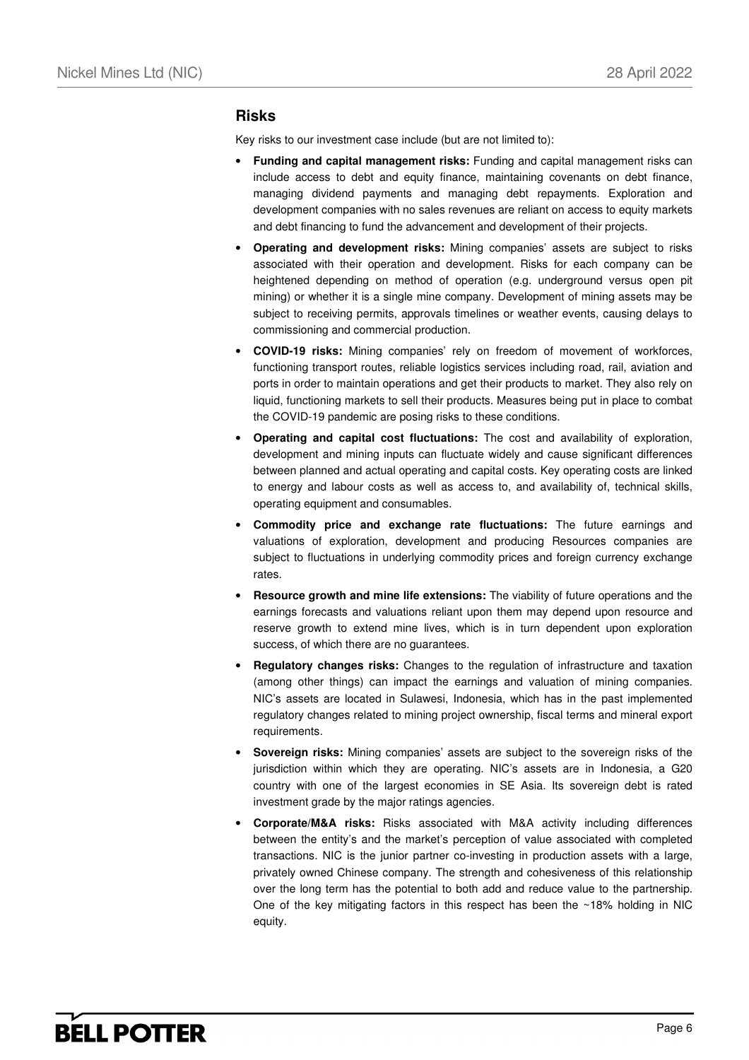## **Risks**

Key risks to our investment case include (but are not limited to):

- **Funding and capital management risks:** Funding and capital management risks can include access to debt and equity finance, maintaining covenants on debt finance, managing dividend payments and managing debt repayments. Exploration and development companies with no sales revenues are reliant on access to equity markets and debt financing to fund the advancement and development of their projects.
- **Operating and development risks:** Mining companies' assets are subject to risks associated with their operation and development. Risks for each company can be heightened depending on method of operation (e.g. underground versus open pit mining) or whether it is a single mine company. Development of mining assets may be subject to receiving permits, approvals timelines or weather events, causing delays to commissioning and commercial production.
- **COVID-19 risks:** Mining companies' rely on freedom of movement of workforces, functioning transport routes, reliable logistics services including road, rail, aviation and ports in order to maintain operations and get their products to market. They also rely on liquid, functioning markets to sell their products. Measures being put in place to combat the COVID-19 pandemic are posing risks to these conditions.
- **Operating and capital cost fluctuations:** The cost and availability of exploration, development and mining inputs can fluctuate widely and cause significant differences between planned and actual operating and capital costs. Key operating costs are linked to energy and labour costs as well as access to, and availability of, technical skills, operating equipment and consumables.
- **Commodity price and exchange rate fluctuations:** The future earnings and valuations of exploration, development and producing Resources companies are subject to fluctuations in underlying commodity prices and foreign currency exchange rates.
- **Resource growth and mine life extensions:** The viability of future operations and the earnings forecasts and valuations reliant upon them may depend upon resource and reserve growth to extend mine lives, which is in turn dependent upon exploration success, of which there are no guarantees.
- **Regulatory changes risks:** Changes to the regulation of infrastructure and taxation (among other things) can impact the earnings and valuation of mining companies. NIC's assets are located in Sulawesi, Indonesia, which has in the past implemented regulatory changes related to mining project ownership, fiscal terms and mineral export requirements.
- **Sovereign risks:** Mining companies' assets are subject to the sovereign risks of the jurisdiction within which they are operating. NIC's assets are in Indonesia, a G20 country with one of the largest economies in SE Asia. Its sovereign debt is rated investment grade by the major ratings agencies.
- **Corporate/M&A risks:** Risks associated with M&A activity including differences between the entity's and the market's perception of value associated with completed transactions. NIC is the junior partner co-investing in production assets with a large, privately owned Chinese company. The strength and cohesiveness of this relationship over the long term has the potential to both add and reduce value to the partnership. One of the key mitigating factors in this respect has been the  $\sim$ 18% holding in NIC equity.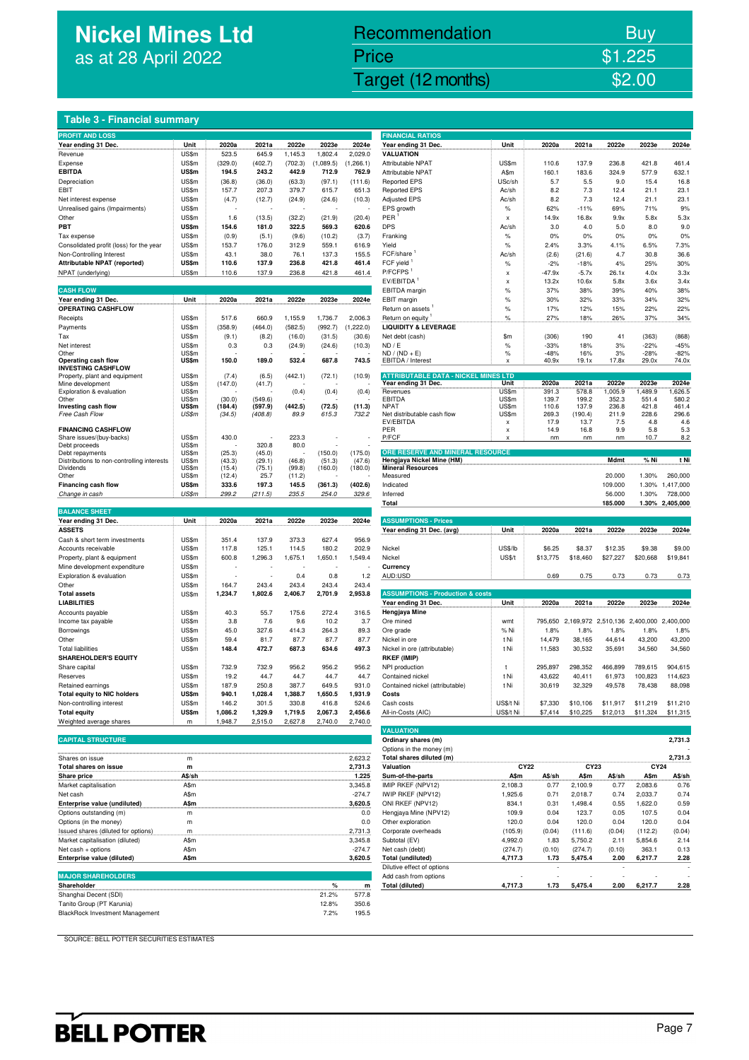# **Nickel Mines Ltd**  as at 28 April 2022

# Nickel Mines Ltd (Nickel Mines Ltd (Nickel Mines Ltd (Nickel Mines Ltd (Nickel Mines Ltd Company) and the State Second Company of the Second Company of the Second Company of the Second Company of the Second Company of the Recommendation Buy Price \$1.225

### **Table 3 - Financial summary**

| <b>PROFIT AND LOSS</b>                     |                |                  |                |                  |           |            | <b>FINANCIAL RATIOS</b>                             |                           |          |                               |          |          |                            |
|--------------------------------------------|----------------|------------------|----------------|------------------|-----------|------------|-----------------------------------------------------|---------------------------|----------|-------------------------------|----------|----------|----------------------------|
| Year ending 31 Dec.                        | Unit           | 2020a            | 2021a          | 2022e            | 2023e     | 2024e      | Year ending 31 Dec.                                 | Unit                      | 2020a    | 2021a                         | 2022e    | 2023e    | 2024e                      |
|                                            |                | 523.5            |                |                  | 1,802.4   |            | <b>VALUATION</b>                                    |                           |          |                               |          |          |                            |
| Revenue                                    | US\$m          |                  | 645.9          | 1,145.3          |           | 2,029.0    |                                                     |                           |          |                               |          |          |                            |
| Expense                                    | US\$m          | (329.0)          | (402.7)        | (702.3)          | (1,089.5) | (1, 266.1) | Attributable NPAT                                   | US\$m                     | 110.6    | 137.9                         | 236.8    | 421.8    | 461.4                      |
| <b>EBITDA</b>                              | US\$m          | 194.5            | 243.2          | 442.9            | 712.9     | 762.9      | Attributable NPAT                                   | A\$m                      | 160.1    | 183.6                         | 324.9    | 577.9    | 632.1                      |
| Depreciation                               | US\$m          | (36.8)           | (36.0)         | (63.3)           | (97.1)    | (111.6)    | <b>Reported EPS</b>                                 | USc/sh                    | 5.7      | 5.5                           | 9.0      | 15.4     | 16.8                       |
| EBIT                                       | US\$m          | 157.7            | 207.3          | 379.7            | 615.7     | 651.3      | <b>Reported EPS</b>                                 | Ac/sh                     | 8.2      | 7.3                           | 12.4     | 21.1     | 23.1                       |
| Net interest expense                       | US\$m          | (4.7)            | (12.7)         | (24.9)           | (24.6)    | (10.3)     | <b>Adjusted EPS</b>                                 | Ac/sh                     | 8.2      | 7.3                           | 12.4     | 21.1     | 23.1                       |
| Unrealised gains (Impairments)             | US\$m          |                  |                |                  |           |            | EPS growth                                          | $\%$                      | 62%      | $-11%$                        | 69%      | 71%      | 9%                         |
|                                            |                |                  |                |                  |           |            | <b>PER</b>                                          |                           |          |                               |          |          |                            |
| Other                                      | US\$m          | 1.6              | (13.5)         | (32.2)           | (21.9)    | (20.4)     |                                                     | x                         | 14.9x    | 16.8x                         | 9.9x     | 5.8x     | 5.3x                       |
| PBT                                        | US\$m          | 154.6            | 181.0          | 322.5            | 569.3     | 620.6      | <b>DPS</b>                                          | Ac/sh                     | 3.0      | 4.0                           | 5.0      | 8.0      | 9.0                        |
| Tax expense                                | US\$m          | (0.9)            | (5.1)          | (9.6)            | (10.2)    | (3.7)      | Franking                                            | %                         | 0%       | 0%                            | 0%       | 0%       | 0%                         |
| Consolidated profit (loss) for the year    | US\$m          | 153.7            | 176.0          | 312.9            | 559.1     | 616.9      | Yield                                               | $\%$                      | 2.4%     | 3.3%                          | 4.1%     | 6.5%     | 7.3%                       |
| Non-Controlling Interest                   | US\$m          | 43.1             | 38.0           | 76.1             | 137.3     | 155.5      | FCF/share                                           | Ac/sh                     | (2.6)    | (21.6)                        | 4.7      | 30.8     | 36.6                       |
| Attributable NPAT (reported)               | US\$m          | 110.6            | 137.9          | 236.8            | 421.8     | 461.4      | FCF yield                                           | $\%$                      | $-2%$    | $-18%$                        | 4%       | 25%      | 30%                        |
| NPAT (underlying)                          | US\$m          | 110.6            | 137.9          | 236.8            | 421.8     | 461.4      | P/FCFPS <sup>1</sup>                                | x                         | $-47.9x$ | $-5.7x$                       | 26.1x    | 4.0x     | 3.3x                       |
|                                            |                |                  |                |                  |           |            | EV/EBITDA <sup>1</sup>                              |                           |          | 10.6x                         |          |          | 3.4x                       |
|                                            |                |                  |                |                  |           |            |                                                     | x                         | 13.2x    |                               | 5.8x     | 3.6x     |                            |
| <b>CASH FLOW</b>                           |                |                  |                |                  |           |            | EBITDA margin                                       | $\%$                      | 37%      | 38%                           | 39%      | 40%      | 38%                        |
| Year ending 31 Dec.                        | Unit           | 2020a            | 2021a          | 2022e            | 2023e     | 2024e      | EBIT margin                                         | $\%$                      | 30%      | 32%                           | 33%      | 34%      | 32%                        |
| OPERATING CASHFLOW                         |                |                  |                |                  |           |            | Return on assets                                    | $\%$                      | 17%      | 12%                           | 15%      | 22%      | 22%                        |
| Receipts                                   | US\$m          | 517.6            | 660.9          | 1,155.9          | 1,736.7   | 2,006.3    | Return on equity                                    | $\%$                      | 27%      | 18%                           | 26%      | 37%      | 34%                        |
| Payments                                   | US\$m          | (358.9)          | (464.0)        | (582.5)          | (992.7)   | (1,222.0)  | <b>LIQUIDITY &amp; LEVERAGE</b>                     |                           |          |                               |          |          |                            |
| Tax                                        | US\$m          | (9.1)            | (8.2)          | (16.0)           | (31.5)    | (30.6)     | Net debt (cash)                                     | \$m                       | (306)    | 190                           | 41       | (363)    | (868)                      |
| Net interest                               | US\$m          | 0.3              | 0.3            |                  |           | (10.3)     | ND / E                                              | %                         | $-33%$   | 18%                           | 3%       | $-22%$   | $-45%$                     |
| Other                                      | US\$m          |                  |                | (24.9)           | (24.6)    |            | $ND / (ND + E)$                                     | $\%$                      | $-48%$   | 16%                           | 3%       | $-28%$   | $-82%$                     |
| Operating cash flow                        | US\$m          | 150.0            | 189.0          | 532.4            | 687.8     | 743.5      | EBITDA / Interest                                   |                           | 40.9x    | 19.1x                         | 17.8x    | 29.0x    | 74.0x                      |
| <b>INVESTING CASHFLOW</b>                  |                |                  |                |                  |           |            |                                                     |                           |          |                               |          |          |                            |
| Property, plant and equipment              | US\$m          | (7.4)            | (6.5)          | (442.1)          | (72.1)    | (10.9)     | <b>ATTRIBUTABLE DATA - NICKEL MINES LTD</b>         |                           |          |                               |          |          |                            |
| Mine development                           | US\$m          | (147.0)          | (41.7)         |                  |           |            | Year ending 31 Dec.                                 | Unit                      | 2020a    | 2021a                         | 2022e    | 2023e    | 2024e                      |
| Exploration & evaluation                   | US\$m          |                  |                | (0.4)            | (0.4)     | (0.4)      | Revenues                                            | US\$m                     | 391.3    | 578.8                         | 1,005.9  | 1,489.9  | ,626.5                     |
| Other                                      | US\$m          | (30.0)           | (549.6)        |                  |           |            | EBITDA                                              | US\$m                     | 139.7    | 199.2                         | 352.3    | 551.4    | 580.2                      |
| Investing cash flow                        | US\$m          | (184.4)          | (597.9)        | (442.5)          | (72.5)    | (11.3)     | <b>NPAT</b>                                         | US\$m                     | 110.6    | 137.9                         | 236.8    | 421.8    | 461.4                      |
| Free Cash Flow                             | US\$m          | (34.5)           | (408.8)        | 89.9             | 615.3     | 732.2      | Net distributable cash flow                         | US\$m                     | 269.3    | (190.4)                       | 211.9    | 228.6    | 296.6                      |
|                                            |                |                  |                |                  |           |            | EV/EBITDA                                           | x                         | 17.9     | 13.7                          | 7.5      | 4.8      | 4.6                        |
| <b>FINANCING CASHFLOW</b>                  |                |                  |                |                  |           |            | PER                                                 | $\boldsymbol{\mathsf{x}}$ | 14.9     | 16.8                          | 9.9      | 5.8      | 5.3                        |
| Share issues/(buy-backs)                   | US\$m          | 430.0            |                | 223.3            |           |            | P/FCF                                               |                           | nm       | nm                            | nm       | 10.7     | 8.2                        |
| Debt proceeds                              | US\$m          |                  | 320.8          | 80.0             |           |            |                                                     |                           |          |                               |          |          |                            |
| Debt repayments                            | US\$m          | (25.3)           | (45.0)         |                  | (150.0)   | (175.0)    | ORE RESERVE AND MINERAL RESOURCE                    |                           |          |                               |          |          |                            |
| Distributions to non-controlling interests | US\$m          | (43.3)           | (29.1)         | (46.8)           | (51.3)    | (47.6)     | Hengjaya Nickel Mine (HM)                           |                           |          |                               | Mdmt     | % Ni     | t Ni                       |
| <b>Dividends</b><br>Other                  | US\$m<br>US\$m | (15.4)<br>(12.4) | (75.1)<br>25.7 | (99.8)<br>(11.2) | (160.0)   | (180.0)    | <b>Mineral Resources</b><br>Measured                |                           |          |                               | 20.000   | 1.30%    | 260,000                    |
| Financing cash flow                        | US\$m          | 333.6            | 197.3          | 145.5            | (361.3)   | (402.6)    | Indicated                                           |                           |          |                               | 109.000  | 1.30%    | 1,417,000                  |
|                                            |                |                  |                |                  |           |            | Inferred                                            |                           |          |                               |          |          |                            |
| Change in cash                             | US\$m          | 299.2            | (211.5)        | 235.5            | 254.0     | 329.6      | Total                                               |                           |          |                               | 56.000   | 1.30%    | 728,000<br>1.30% 2,405,000 |
|                                            |                |                  |                |                  |           |            |                                                     |                           |          |                               | 185.000  |          |                            |
|                                            |                |                  |                |                  |           |            |                                                     |                           |          |                               |          |          |                            |
| <b>BALANCE SHEET</b>                       |                |                  |                |                  |           |            |                                                     |                           |          |                               |          |          |                            |
| Year ending 31 Dec.                        | Unit           | 2020a            | 2021a          | 2022e            | 2023e     | 2024e      | <b>ASSUMPTIONS - Prices</b>                         |                           |          |                               |          |          |                            |
| <b>ASSETS</b>                              |                |                  |                |                  |           |            | Year ending 31 Dec. (avg)                           | Unit                      | 2020a    | 2021a                         | 2022e    | 2023e    | 2024e                      |
| Cash & short term investments              | US\$m          | 351.4            | 137.9          | 373.3            | 627.4     | 956.9      |                                                     |                           |          |                               |          |          |                            |
| Accounts receivable                        | US\$m          | 117.8            | 125.1          | 114.5            | 180.2     | 202.9      | Nickel                                              | US\$/lb                   | \$6.25   | \$8.37                        | \$12.35  | \$9.38   | \$9.00                     |
| Property, plant & equipment                | US\$m          | 600.8            | 1,296.3        | 1,675.1          | 1,650.1   | 1,549.4    | Nickel                                              | US\$/t                    | \$13,775 | \$18,460                      | \$27,227 | \$20,668 | \$19,841                   |
|                                            |                |                  |                |                  |           |            |                                                     |                           |          |                               |          |          |                            |
| Mine development expenditure               | US\$m          |                  |                |                  |           |            | Currency                                            |                           |          |                               |          |          |                            |
| Exploration & evaluation                   | US\$m          |                  |                | 0.4              | 0.8       | 1.2        | AUD:USD                                             |                           | 0.69     | 0.75                          | 0.73     | 0.73     | 0.73                       |
| Other                                      | US\$m          | 164.7            | 243.4          | 243.4            | 243.4     | 243.4      |                                                     |                           |          |                               |          |          |                            |
| <b>Total assets</b>                        | US\$m          | 1,234.7          | 1,802.6        | 2,406.7          | 2,701.9   | 2,953.8    | <b>ASSUMPTIONS - Production &amp; costs</b>         |                           |          |                               |          |          |                            |
| <b>LIABILITIES</b>                         |                |                  |                |                  |           |            | Year ending 31 Dec.                                 | Unit                      | 2020a    | 2021a                         | 2022e    | 2023e    | 2024e                      |
| Accounts payable                           | US\$m          | 40.3             | 55.7           | 175.6            | 272.4     | 316.5      | Hengjaya Mine                                       |                           |          |                               |          |          |                            |
| Income tax payable                         | US\$m          | 3.8              | 7.6            | 9.6              | 10.2      | 3.7        | Ore mined                                           | wmt                       | 795,650  | 2,169,972 2,510,136 2,400,000 |          |          | 2,400,000                  |
| Borrowings                                 | US\$m          | 45.0             | 327.6          | 414.3            | 264.3     | 89.3       | Ore grade                                           | % Ni                      | 1.8%     | 1.8%                          | 1.8%     | 1.8%     | 1.8%                       |
| Other                                      | US\$m          | 59.4             | 81.7           | 87.7             | 87.7      | 87.7       | Nickel in ore                                       | t Ni                      | 14,479   | 38,165                        | 44,614   | 43,200   | 43,200                     |
| <b>Total liabilities</b>                   | US\$m          | 148.4            | 472.7          | 687.3            | 634.6     | 497.3      | Nickel in ore (attributable)                        | t Ni                      | 11,583   | 30,532                        | 35,691   | 34,560   | 34,560                     |
| <b>SHAREHOLDER'S EQUITY</b>                |                |                  |                |                  |           |            | <b>RKEF (IMIP)</b>                                  |                           |          |                               |          |          |                            |
|                                            |                |                  |                |                  |           |            |                                                     | t                         |          |                               |          |          |                            |
| Share capital                              | US\$m          | 732.9            | 732.9          | 956.2            | 956.2     | 956.2      | NPI production                                      |                           | 295,897  | 298,352                       | 466,899  | 789,615  | 904,615                    |
| Reserves                                   | US\$m          | 19.2             | 44.7           | 44.7             | 44.7      | 44.7       | Contained nickel                                    | t Ni                      | 43,622   | 40,411                        | 61,973   | 100,823  | 114,623                    |
| Retained earnings                          | US\$m          | 187.9            | 250.8          | 387.7            | 649.5     | 931.0      | Contained nickel (attributable)                     | t Ni                      | 30,619   | 32,329                        | 49,578   | 78,438   | 88,098                     |
| <b>Total equity to NIC holders</b>         | US\$m          | 940.1            | 1,028.4        | 1,388.7          | 1,650.5   | 1,931.9    | Costs                                               |                           |          |                               |          |          |                            |
| Non-controlling interest                   | US\$m          | 146.2            | 301.5          | 330.8            | 416.8     | 524.6      | Cash costs                                          | US\$/t Ni                 | \$7,330  | \$10,106                      | \$11,917 | \$11,219 | \$11,210                   |
| <b>Total equity</b>                        | US\$m          | 1,086.2          | 1,329.9        | 1,719.5          | 2,067.3   | 2,456.6    | All-in-Costs (AIC)                                  | US\$/t Ni                 | \$7,414  | \$10,225                      | \$12,013 | \$11,324 | \$11,315                   |
| Weighted average shares                    | m              | 1,948.7          | 2,515.0        | 2,627.8          | 2,740.0   | 2,740.0    |                                                     |                           |          |                               |          |          |                            |
|                                            |                |                  |                |                  |           |            | <b>VALUATION</b>                                    |                           |          |                               |          |          |                            |
| <b>CAPITAL STRUCTURE</b>                   |                |                  |                |                  |           |            | Ordinary shares (m)                                 |                           |          |                               |          |          | 2,731.3                    |
|                                            |                |                  |                |                  |           |            | Options in the money (m)                            |                           |          |                               |          |          |                            |
| Shares on issue                            | m              |                  |                |                  |           | 2,623.2    | Total shares diluted (m)                            |                           |          |                               |          |          | 2,731.3                    |
|                                            | m              |                  |                |                  |           |            | Valuation                                           | CY22                      |          | CY23                          |          | CY24     |                            |
| Total shares on issue                      |                |                  |                |                  |           | 2,731.3    |                                                     |                           |          |                               |          |          |                            |
| Share price                                | A\$/sh         |                  |                |                  |           | 1.225      | Sum-of-the-parts                                    | A\$m                      | A\$/sh   | A\$m                          | A\$/sh   | A\$m     | A\$/sh                     |
| Market capitalisation                      | A\$m           |                  |                |                  |           | 3,345.8    | IMIP RKEF (NPV12)                                   | 2,108.3                   | 0.77     | 2,100.9                       | 0.77     | 2,083.6  | 0.76                       |
| Net cash                                   | A\$m           |                  |                |                  |           | $-274.7$   | IWIP RKEF (NPV12)                                   | 1,925.6                   | 0.71     | 2,018.7                       | 0.74     | 2,033.7  | 0.74                       |
| Enterprise value (undiluted)               | A\$m           |                  |                |                  |           | 3,620.5    | ONI RKEF (NPV12)                                    | 834.1                     | 0.31     | 1,498.4                       | 0.55     | 1,622.0  | 0.59                       |
| Options outstanding (m)                    | m              |                  |                |                  |           | 0.0        | Hengjaya Mine (NPV12)                               | 109.9                     | 0.04     | 123.7                         | 0.05     | 107.5    | 0.04                       |
| Options (in the money)                     | m              |                  |                |                  |           | 0.0        | Other exploration                                   | 120.0                     | 0.04     | 120.0                         | 0.04     | 120.0    | 0.04                       |
| Issued shares (diluted for options)        | m              |                  |                |                  |           | 2,731.3    | Corporate overheads                                 | (105.9)                   | (0.04)   | (111.6)                       | (0.04)   | (112.2)  | (0.04)                     |
| Market capitalisation (diluted)            | A\$m           |                  |                |                  |           | 3,345.8    | Subtotal (EV)                                       |                           | 1.83     | 5,750.2                       | 2.11     | 5,854.6  | 2.14                       |
|                                            |                |                  |                |                  |           |            |                                                     | 4,992.0                   |          |                               |          |          | 0.13                       |
| Net cash + options                         | A\$m           |                  |                |                  |           | $-274.7$   | Net cash (debt)                                     | (274.7)                   | (0.10)   | (274.7)                       | (0.10)   | 363.1    |                            |
| Enterprise value (diluted)                 | A\$m           |                  |                |                  |           | 3,620.5    | <b>Total (undiluted)</b>                            | 4,717.3                   | 1.73     | 5,475.4                       | 2.00     | 6,217.7  | 2.28                       |
| <b>MAJOR SHAREHOLDERS</b>                  |                |                  |                |                  |           |            | Dilutive effect of options<br>Add cash from options |                           |          |                               |          |          |                            |

| IMAJUR SMARENULDERS I                  |       |       | Add cash from options |         |      |         |      |         |      |
|----------------------------------------|-------|-------|-----------------------|---------|------|---------|------|---------|------|
| Shareholder                            |       |       | Total (diluted)       | 4.717.3 | 1.73 | 5.475.4 | 2.00 | 6.217.7 | 2.28 |
| Shanghai Decent (SDI)                  | 21.2% | 577.8 |                       |         |      |         |      |         |      |
| Tanito Group (PT Karunia)              | 12.8% | 350.6 |                       |         |      |         |      |         |      |
| <b>BlackRock Investment Management</b> | 7.2%  | 195.5 |                       |         |      |         |      |         |      |
|                                        |       |       |                       |         |      |         |      |         |      |

| <b>FINANCIAL RATIOS</b>                     |                 |              |              |             |                                         |              |
|---------------------------------------------|-----------------|--------------|--------------|-------------|-----------------------------------------|--------------|
|                                             | Unit            | 2020a        | 2021a        | 2022e       | 2023e                                   | 2024e        |
| Year ending 31 Dec.<br>VALUATION            |                 |              |              |             |                                         |              |
| Attributable NPAT                           |                 | 110.6        | 137.9        | 236.8       | 421.8                                   | 461.4        |
|                                             | US\$m           | 160.1        | 183.6        | 324.9       |                                         |              |
| Attributable NPAT                           | A\$m            |              |              |             | 577.9                                   | 632.1        |
| <b>Reported EPS</b>                         | USc/sh<br>Ac/sh | 5.7<br>8.2   | 5.5<br>7.3   | 9.0<br>12.4 | 15.4                                    | 16.8<br>23.1 |
| <b>Reported EPS</b><br><b>Adjusted EPS</b>  |                 |              |              |             | 21.1                                    |              |
|                                             | Ac/sh           | 8.2          | 7.3          | 12.4        | 21.1                                    | 23.1         |
| EPS growth                                  | %               | 62%          | $-11%$       | 69%         | 71%                                     | 9%           |
| PER <sup>1</sup>                            | x               | 14.9x        | 16.8x        | 9.9x        | 5.8x                                    | 5.3x         |
| DPS                                         | Ac/sh           | 3.0          | 4.0          | 5.0         | 8.0                                     | 9.0          |
| Franking                                    | $\%$            | 0%           | 0%           | 0%          | 0%                                      | 0%           |
| Yield                                       | %               | 2.4%         | 3.3%         | 4.1%        | 6.5%                                    | 7.3%         |
| FCF/share <sup>1</sup>                      | Ac/sh           | (2.6)        | (21.6)       | 4.7         | 30.8                                    | 36.6         |
| FCF yield <sup>1</sup>                      | %               | $-2%$        | $-18%$       | 4%          | 25%                                     | 30%          |
| P/FCFPS <sup>1</sup>                        | x               | $-47.9x$     | $-5.7x$      | 26.1x       | 4.0x                                    | 3.3x         |
| EV/EBITDA <sup>1</sup>                      | x               | 13.2x        | 10.6x        | 5.8x        | 3.6x                                    | 3.4x         |
| EBITDA margin                               | %               | 37%          | 38%          | 39%         | 40%                                     | 38%          |
| EBIT margin                                 | %               | 30%          | 32%          | 33%         | 34%                                     | 32%          |
| Return on assets 1                          | %               | 17%          | 12%          | 15%         | 22%                                     | 22%          |
| Return on equity                            | %               | 27%          | 18%          | 26%         | 37%                                     | 34%          |
| <b>LIQUIDITY &amp; LEVERAGE</b>             |                 |              |              |             |                                         |              |
| Net debt (cash)                             | \$m             | (306)        | 190          | 41          | (363)                                   | (868)        |
| ND / F                                      | %               | $-33%$       | 18%          | 3%          | $-22%$                                  | $-45%$       |
| $ND / (ND + E)$                             | %               | $-48%$       | 16%          | 3%          | $-28%$                                  | $-82%$       |
| <b>EBITDA</b> / Interest                    | x               | 40.9x        | 19.1x        | 17.8x       | 29.0x                                   | 74.0x        |
| <b>ATTRIBUTABLE DATA - NICKEL MINES LTD</b> |                 |              |              |             |                                         |              |
| Year ending 31 Dec.                         | Unit            | 2020a        | 2021a        | 2022e       | 2023e                                   | 2024e        |
| Revenues                                    | US\$m           | 391.3        | 578.8        | 1,005.9     | 1,489.9                                 | 1,626.5      |
| <b>EBITDA</b>                               | US\$m           | 139.7        | 199.2        | 352.3       | 551.4                                   | 580.2        |
| NPAT                                        | US\$m           | 110.6        | 137.9        | 236.8       | 421.8                                   | 461.4        |
| Net distributable cash flow                 | US\$m           | 269.3        | (190.4)      | 211.9       | 228.6                                   | 296.6        |
| EV/EBITDA<br>PER                            | x<br>x          | 17.9<br>14.9 | 13.7<br>16.8 | 7.5<br>9.9  | 4.8<br>5.8                              | 4.6<br>5.3   |
| P/FCF                                       | x               | nm           | nm           | nm          | 10.7                                    | 8.2          |
|                                             |                 |              |              |             |                                         |              |
| ORE RESERVE AND MINERAL RESOURCE            |                 |              |              |             |                                         |              |
| <b>Hengjaya Nickel Mine (HM)</b>            |                 |              |              | Mdmt        | % Ni                                    | t Ni         |
| <b>Mineral Resources</b>                    |                 |              |              |             |                                         |              |
| Measured                                    |                 |              |              | 20.000      | 1.30%                                   | 260,000      |
| Indicated                                   |                 |              |              | 109.000     | 1.30%                                   | 1,417,000    |
| Inferred                                    |                 |              |              | 56.000      | 1.30%                                   | 728,000      |
| Total                                       |                 |              |              | 185.000     | 1.30%                                   | 2,405,000    |
|                                             |                 |              |              |             |                                         |              |
| <b>ASSUMPTIONS - Prices</b>                 |                 |              |              |             |                                         |              |
| Year ending 31 Dec. (avg)                   | <u> Unit</u>    | 2020a        | 2021a        | 2022e       | 2023e                                   | 2024e        |
|                                             |                 |              |              |             |                                         |              |
| Nickel                                      | <b>US\$/lb</b>  | \$6.25       | \$8.37       | \$12.35     | \$9.38                                  | \$9.00       |
| Nickel                                      | <b>US\$/t</b>   | \$13,775     | \$18,460     | \$27,227    | \$20,668                                | \$19,841     |
| Currency                                    |                 |              |              |             |                                         |              |
| AUD:USD                                     |                 | 0.69         | 0.75         | 0.73        | 0.73                                    | 0.73         |
|                                             |                 |              |              |             |                                         |              |
| <b>ASSUMPTIONS - Production &amp; costs</b> |                 |              |              |             |                                         |              |
| Year ending 31 Dec.                         | Unit            | 2020a        | 2021a        | 2022e       | 2023e                                   | 2024e        |
| Hengjaya Mine                               |                 |              |              |             |                                         |              |
| Ore mined                                   | wmt             | 795,650      |              |             | 2,169,972 2,510,136 2,400,000 2,400,000 |              |
| Ore grade                                   | % Ni            | 1.8%         | 1.8%         | 1.8%        | 1.8%                                    | 1.8%         |
| Nickel in ore                               | t Ni            | 14,479       | 38,165       | 44,614      | 43,200                                  | 43,200       |
| Nickel in ore (attributable)                | t Ni            | 11,583       | 30,532       | 35,691      | 34,560                                  | 34,560       |
| <b>RKEF (IMIP)</b>                          |                 |              |              |             |                                         |              |
| NPI production                              | t               | 295,897      | 298,352      | 466,899     | 789,615                                 | 904,615      |
| Contained nickel                            | t Ni            | 43,622       | 40,411       | 61,973      | 100,823                                 | 114,623      |
| Contained nickel (attributable)             | t Ni            | 30,619       | 32,329       | 49,578      | 78,438                                  | 88,098       |
| Costs                                       |                 |              |              |             |                                         |              |
| Cash costs                                  | US\$/t Ni       | \$7,330      | \$10,106     | \$11,917    | \$11,219                                | \$11,210     |
| All-in-Costs (AIC)                          | US\$/t Ni       | \$7,414      | \$10,225     | \$12,013    | \$11,324                                | \$11,315     |
|                                             |                 |              |              |             |                                         |              |
| <b>VALUATION</b>                            |                 |              |              |             |                                         |              |
| Ordinary shares (m)                         |                 |              |              |             |                                         | 2,731.3      |
| Options in the money (m)                    |                 |              |              |             |                                         |              |
| Total shares diluted (m)                    |                 |              |              |             |                                         | 2,731.3      |
| Valuation                                   |                 | CY22         | CY23         |             | CY24                                    |              |
| Sum-of-the-parts                            | AŞm             | A\$/sh       | A\$m         | A\$/sh      | A\$m                                    | A\$/sh       |
| IMIP RKEF (NPV12)                           | 2,108.3         | 0.77         | 2,100.9      | 0.77        | 2,083.6                                 | 0.76         |
| IWIP RKEF (NPV12)                           | 1,925.6         | 0.71         | 2,018.7      | 0.74        | 2,033.7                                 | 0.74         |

SOURCE: BELL POTTER SECURITIES ESTIMATES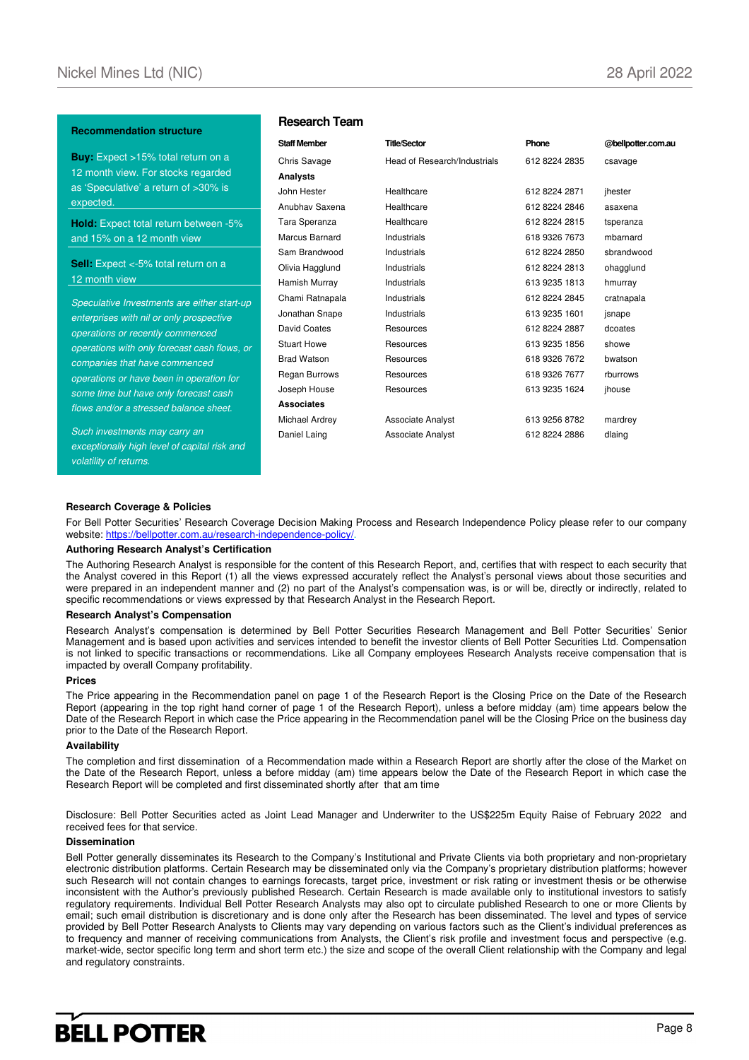### **Recommendation structure**

**Buy:** Expect >15% total return on a 12 month view. For stocks regarded as 'Speculative' a return of >30% is expected.

**Hold:** Expect total return between -5% and 15% on a 12 month view

**Sell:** Expect <-5% total return on a 12 month view

Speculative Investments are either start-up enterprises with nil or only prospective operations or recently commenced operations with only forecast cash flows, or companies that have commenced operations or have been in operation for some time but have only forecast cash flows and/or a stressed balance sheet.

Such investments may carry an exceptionally high level of capital risk and volatility of returns.

## **Research Team**

| <b>Staff Member</b> | <b>Title/Sector</b>          | Phone         | @bellpotter.com.au |
|---------------------|------------------------------|---------------|--------------------|
| Chris Savage        | Head of Research/Industrials | 612 8224 2835 | csavage            |
| Analysts            |                              |               |                    |
| John Hester         | Healthcare                   | 612 8224 2871 | ihester            |
| Anubhay Saxena      | Healthcare                   | 612 8224 2846 | asaxena            |
| Tara Speranza       | Healthcare                   | 612 8224 2815 | tsperanza          |
| Marcus Barnard      | Industrials                  | 618 9326 7673 | mbarnard           |
| Sam Brandwood       | Industrials                  | 612 8224 2850 | sbrandwood         |
| Olivia Hagglund     | Industrials                  | 612 8224 2813 | ohagglund          |
| Hamish Murray       | Industrials                  | 613 9235 1813 | hmurray            |
| Chami Ratnapala     | Industrials                  | 612 8224 2845 | cratnapala         |
| Jonathan Snape      | Industrials                  | 613 9235 1601 | isnape             |
| David Coates        | Resources                    | 612 8224 2887 | dcoates            |
| <b>Stuart Howe</b>  | Resources                    | 613 9235 1856 | showe              |
| <b>Brad Watson</b>  | Resources                    | 618 9326 7672 | bwatson            |
| Regan Burrows       | Resources                    | 618 9326 7677 | rburrows           |
| Joseph House        | Resources                    | 613 9235 1624 | jhouse             |
| <b>Associates</b>   |                              |               |                    |
| Michael Ardrey      | <b>Associate Analyst</b>     | 613 9256 8782 | mardrey            |
| Daniel Laing        | <b>Associate Analyst</b>     | 612 8224 2886 | dlaing             |
|                     |                              |               |                    |

#### **Research Coverage & Policies**

For Bell Potter Securities' Research Coverage Decision Making Process and Research Independence Policy please refer to our company website: https://bellpotter.com.au/research-independence-policy/

#### **Authoring Research Analyst's Certification**

The Authoring Research Analyst is responsible for the content of this Research Report, and, certifies that with respect to each security that the Analyst covered in this Report (1) all the views expressed accurately reflect the Analyst's personal views about those securities and were prepared in an independent manner and (2) no part of the Analyst's compensation was, is or will be, directly or indirectly, related to specific recommendations or views expressed by that Research Analyst in the Research Report.

### **Research Analyst's Compensation**

Research Analyst's compensation is determined by Bell Potter Securities Research Management and Bell Potter Securities' Senior Management and is based upon activities and services intended to benefit the investor clients of Bell Potter Securities Ltd. Compensation is not linked to specific transactions or recommendations. Like all Company employees Research Analysts receive compensation that is impacted by overall Company profitability.

#### **Prices**

The Price appearing in the Recommendation panel on page 1 of the Research Report is the Closing Price on the Date of the Research Report (appearing in the top right hand corner of page 1 of the Research Report), unless a before midday (am) time appears below the Date of the Research Report in which case the Price appearing in the Recommendation panel will be the Closing Price on the business day prior to the Date of the Research Report.

#### **Availability**

The completion and first dissemination of a Recommendation made within a Research Report are shortly after the close of the Market on the Date of the Research Report, unless a before midday (am) time appears below the Date of the Research Report in which case the Research Report will be completed and first disseminated shortly after that am time

Disclosure: Bell Potter Securities acted as Joint Lead Manager and Underwriter to the US\$225m Equity Raise of February 2022 and received fees for that service.

#### **Dissemination**

Bell Potter generally disseminates its Research to the Company's Institutional and Private Clients via both proprietary and non-proprietary electronic distribution platforms. Certain Research may be disseminated only via the Company's proprietary distribution platforms; however such Research will not contain changes to earnings forecasts, target price, investment or risk rating or investment thesis or be otherwise inconsistent with the Author's previously published Research. Certain Research is made available only to institutional investors to satisfy regulatory requirements. Individual Bell Potter Research Analysts may also opt to circulate published Research to one or more Clients by email; such email distribution is discretionary and is done only after the Research has been disseminated. The level and types of service provided by Bell Potter Research Analysts to Clients may vary depending on various factors such as the Client's individual preferences as to frequency and manner of receiving communications from Analysts, the Client's risk profile and investment focus and perspective (e.g. market-wide, sector specific long term and short term etc.) the size and scope of the overall Client relationship with the Company and legal and regulatory constraints.

# **BELL POTTER**